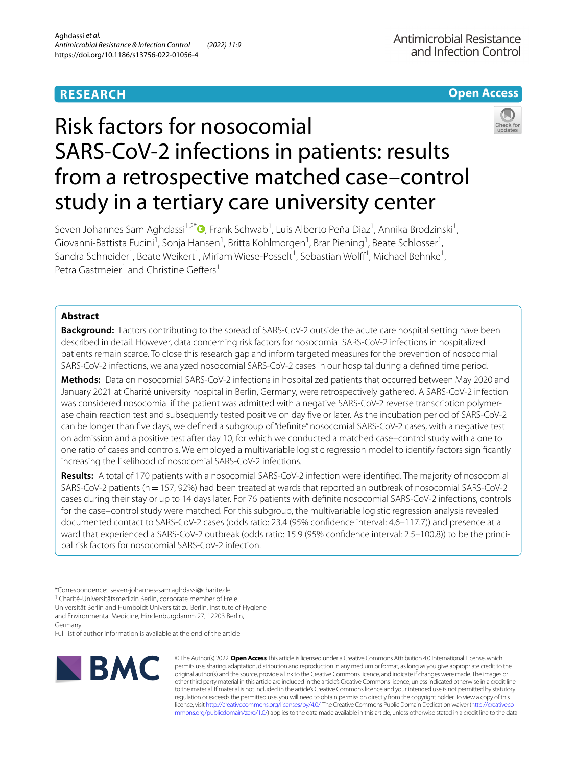## **RESEARCH**

## **Open Access**



# Risk factors for nosocomial SARS-CoV-2 infections in patients: results from a retrospective matched case–control study in a tertiary care university center

Seven Johannes Sam Aghdassi<sup>1,2[\\*](http://orcid.org/0000-0002-8263-3455)</sup>®, Frank Schwab<sup>1</sup>, Luis Alberto Peña Diaz<sup>1</sup>, Annika Brodzinski<sup>1</sup>, Giovanni-Battista Fucini<sup>1</sup>, Sonja Hansen<sup>1</sup>, Britta Kohlmorgen<sup>1</sup>, Brar Piening<sup>1</sup>, Beate Schlosser<sup>1</sup>, Sandra Schneider<sup>1</sup>, Beate Weikert<sup>1</sup>, Miriam Wiese-Posselt<sup>1</sup>, Sebastian Wolff<sup>1</sup>, Michael Behnke<sup>1</sup>, Petra Gastmeier<sup>1</sup> and Christine Geffers<sup>1</sup>

## **Abstract**

**Background:** Factors contributing to the spread of SARS-CoV-2 outside the acute care hospital setting have been described in detail. However, data concerning risk factors for nosocomial SARS-CoV-2 infections in hospitalized patients remain scarce. To close this research gap and inform targeted measures for the prevention of nosocomial SARS-CoV-2 infections, we analyzed nosocomial SARS-CoV-2 cases in our hospital during a defned time period.

**Methods:** Data on nosocomial SARS-CoV-2 infections in hospitalized patients that occurred between May 2020 and January 2021 at Charité university hospital in Berlin, Germany, were retrospectively gathered. A SARS-CoV-2 infection was considered nosocomial if the patient was admitted with a negative SARS-CoV-2 reverse transcription polymerase chain reaction test and subsequently tested positive on day fve or later. As the incubation period of SARS-CoV-2 can be longer than fve days, we defned a subgroup of "defnite" nosocomial SARS-CoV-2 cases, with a negative test on admission and a positive test after day 10, for which we conducted a matched case–control study with a one to one ratio of cases and controls. We employed a multivariable logistic regression model to identify factors signifcantly increasing the likelihood of nosocomial SARS-CoV-2 infections.

**Results:** A total of 170 patients with a nosocomial SARS-CoV-2 infection were identifed. The majority of nosocomial SARS-CoV-2 patients (n=157, 92%) had been treated at wards that reported an outbreak of nosocomial SARS-CoV-2 cases during their stay or up to 14 days later. For 76 patients with defnite nosocomial SARS-CoV-2 infections, controls for the case–control study were matched. For this subgroup, the multivariable logistic regression analysis revealed documented contact to SARS-CoV-2 cases (odds ratio: 23.4 (95% confdence interval: 4.6–117.7)) and presence at a ward that experienced a SARS-CoV-2 outbreak (odds ratio: 15.9 (95% confidence interval: 2.5–100.8)) to be the principal risk factors for nosocomial SARS-CoV-2 infection.

Universität Berlin and Humboldt Universität zu Berlin, Institute of Hygiene and Environmental Medicine, Hindenburgdamm 27, 12203 Berlin, Germany

Full list of author information is available at the end of the article



© The Author(s) 2022. **Open Access** This article is licensed under a Creative Commons Attribution 4.0 International License, which permits use, sharing, adaptation, distribution and reproduction in any medium or format, as long as you give appropriate credit to the original author(s) and the source, provide a link to the Creative Commons licence, and indicate if changes were made. The images or other third party material in this article are included in the article's Creative Commons licence, unless indicated otherwise in a credit line to the material. If material is not included in the article's Creative Commons licence and your intended use is not permitted by statutory regulation or exceeds the permitted use, you will need to obtain permission directly from the copyright holder. To view a copy of this licence, visit [http://creativecommons.org/licenses/by/4.0/.](http://creativecommons.org/licenses/by/4.0/) The Creative Commons Public Domain Dedication waiver ([http://creativeco](http://creativecommons.org/publicdomain/zero/1.0/) [mmons.org/publicdomain/zero/1.0/](http://creativecommons.org/publicdomain/zero/1.0/)) applies to the data made available in this article, unless otherwise stated in a credit line to the data.

<sup>\*</sup>Correspondence: seven-johannes-sam.aghdassi@charite.de

<sup>&</sup>lt;sup>1</sup> Charité-Universitätsmedizin Berlin, corporate member of Freie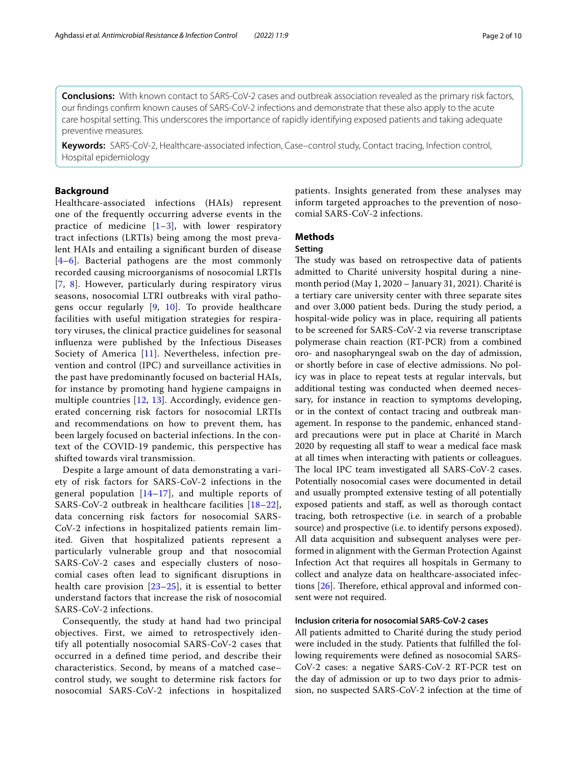**Conclusions:** With known contact to SARS-CoV-2 cases and outbreak association revealed as the primary risk factors, our fndings confrm known causes of SARS-CoV-2 infections and demonstrate that these also apply to the acute care hospital setting. This underscores the importance of rapidly identifying exposed patients and taking adequate preventive measures.

**Keywords:** SARS-CoV-2, Healthcare-associated infection, Case–control study, Contact tracing, Infection control, Hospital epidemiology

## **Background**

Healthcare-associated infections (HAIs) represent one of the frequently occurring adverse events in the practice of medicine  $[1-3]$  $[1-3]$ , with lower respiratory tract infections (LRTIs) being among the most prevalent HAIs and entailing a signifcant burden of disease [[4](#page-8-2)[–6](#page-8-3)]. Bacterial pathogens are the most commonly recorded causing microorganisms of nosocomial LRTIs [[7](#page-8-4), [8](#page-8-5)]. However, particularly during respiratory virus seasons, nosocomial LTRI outbreaks with viral pathogens occur regularly [\[9](#page-8-6), [10\]](#page-8-7). To provide healthcare facilities with useful mitigation strategies for respiratory viruses, the clinical practice guidelines for seasonal infuenza were published by the Infectious Diseases Society of America [[11](#page-8-8)]. Nevertheless, infection prevention and control (IPC) and surveillance activities in the past have predominantly focused on bacterial HAIs, for instance by promoting hand hygiene campaigns in multiple countries [[12](#page-8-9), [13\]](#page-8-10). Accordingly, evidence generated concerning risk factors for nosocomial LRTIs and recommendations on how to prevent them, has been largely focused on bacterial infections. In the context of the COVID-19 pandemic, this perspective has shifted towards viral transmission.

Despite a large amount of data demonstrating a variety of risk factors for SARS-CoV-2 infections in the general population [\[14–](#page-8-11)[17\]](#page-8-12), and multiple reports of SARS-CoV-2 outbreak in healthcare facilities [[18–](#page-8-13)[22\]](#page-9-0), data concerning risk factors for nosocomial SARS-CoV-2 infections in hospitalized patients remain limited. Given that hospitalized patients represent a particularly vulnerable group and that nosocomial SARS-CoV-2 cases and especially clusters of nosocomial cases often lead to signifcant disruptions in health care provision  $[23-25]$  $[23-25]$  $[23-25]$ , it is essential to better understand factors that increase the risk of nosocomial SARS-CoV-2 infections.

Consequently, the study at hand had two principal objectives. First, we aimed to retrospectively identify all potentially nosocomial SARS-CoV-2 cases that occurred in a defned time period, and describe their characteristics. Second, by means of a matched case– control study, we sought to determine risk factors for nosocomial SARS-CoV-2 infections in hospitalized patients. Insights generated from these analyses may inform targeted approaches to the prevention of nosocomial SARS-CoV-2 infections.

## **Methods**

#### **Setting**

The study was based on retrospective data of patients admitted to Charité university hospital during a ninemonth period (May 1, 2020 – January 31, 2021). Charité is a tertiary care university center with three separate sites and over 3,000 patient beds. During the study period, a hospital-wide policy was in place, requiring all patients to be screened for SARS-CoV-2 via reverse transcriptase polymerase chain reaction (RT-PCR) from a combined oro- and nasopharyngeal swab on the day of admission, or shortly before in case of elective admissions. No policy was in place to repeat tests at regular intervals, but additional testing was conducted when deemed necessary, for instance in reaction to symptoms developing, or in the context of contact tracing and outbreak management. In response to the pandemic, enhanced standard precautions were put in place at Charité in March 2020 by requesting all staff to wear a medical face mask at all times when interacting with patients or colleagues. The local IPC team investigated all SARS-CoV-2 cases. Potentially nosocomial cases were documented in detail and usually prompted extensive testing of all potentially exposed patients and staf, as well as thorough contact tracing, both retrospective (i.e. in search of a probable source) and prospective (i.e. to identify persons exposed). All data acquisition and subsequent analyses were performed in alignment with the German Protection Against Infection Act that requires all hospitals in Germany to collect and analyze data on healthcare-associated infections  $[26]$  $[26]$ . Therefore, ethical approval and informed consent were not required.

### **Inclusion criteria for nosocomial SARS‑CoV‑2 cases**

All patients admitted to Charité during the study period were included in the study. Patients that fulflled the following requirements were defned as nosocomial SARS-CoV-2 cases: a negative SARS-CoV-2 RT-PCR test on the day of admission or up to two days prior to admission, no suspected SARS-CoV-2 infection at the time of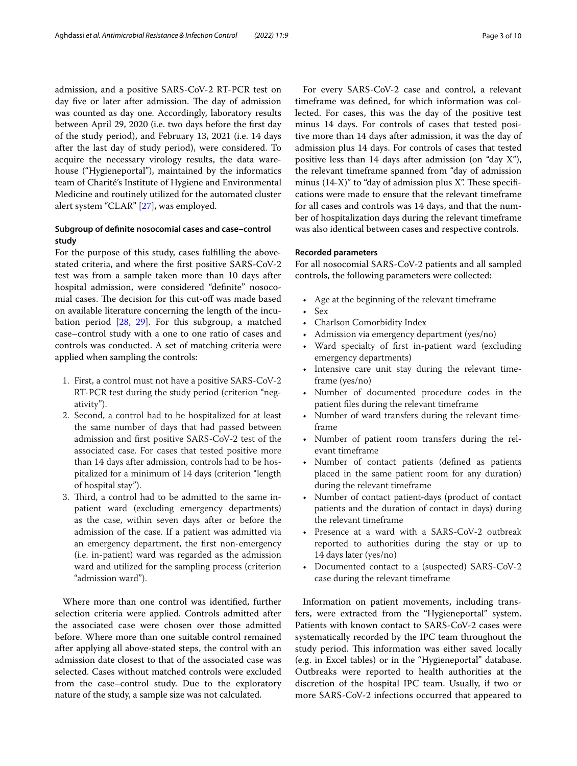admission, and a positive SARS-CoV-2 RT-PCR test on day five or later after admission. The day of admission was counted as day one. Accordingly, laboratory results between April 29, 2020 (i.e. two days before the frst day of the study period), and February 13, 2021 (i.e. 14 days after the last day of study period), were considered. To acquire the necessary virology results, the data warehouse ("Hygieneportal"), maintained by the informatics team of Charité's Institute of Hygiene and Environmental Medicine and routinely utilized for the automated cluster alert system "CLAR" [\[27](#page-9-4)], was employed.

## **Subgroup of defnite nosocomial cases and case–control study**

For the purpose of this study, cases fulflling the abovestated criteria, and where the frst positive SARS-CoV-2 test was from a sample taken more than 10 days after hospital admission, were considered "defnite" nosocomial cases. The decision for this cut-off was made based on available literature concerning the length of the incubation period [\[28,](#page-9-5) [29](#page-9-6)]. For this subgroup, a matched case–control study with a one to one ratio of cases and controls was conducted. A set of matching criteria were applied when sampling the controls:

- 1. First, a control must not have a positive SARS-CoV-2 RT-PCR test during the study period (criterion "negativity").
- 2. Second, a control had to be hospitalized for at least the same number of days that had passed between admission and frst positive SARS-CoV-2 test of the associated case. For cases that tested positive more than 14 days after admission, controls had to be hospitalized for a minimum of 14 days (criterion "length of hospital stay").
- 3. Third, a control had to be admitted to the same inpatient ward (excluding emergency departments) as the case, within seven days after or before the admission of the case. If a patient was admitted via an emergency department, the frst non-emergency (i.e. in-patient) ward was regarded as the admission ward and utilized for the sampling process (criterion "admission ward").

Where more than one control was identifed, further selection criteria were applied. Controls admitted after the associated case were chosen over those admitted before. Where more than one suitable control remained after applying all above-stated steps, the control with an admission date closest to that of the associated case was selected. Cases without matched controls were excluded from the case–control study. Due to the exploratory nature of the study, a sample size was not calculated.

For every SARS-CoV-2 case and control, a relevant timeframe was defned, for which information was collected. For cases, this was the day of the positive test minus 14 days. For controls of cases that tested positive more than 14 days after admission, it was the day of admission plus 14 days. For controls of cases that tested positive less than 14 days after admission (on "day X"), the relevant timeframe spanned from "day of admission minus  $(14-X)$ " to "day of admission plus X". These specifications were made to ensure that the relevant timeframe for all cases and controls was 14 days, and that the number of hospitalization days during the relevant timeframe was also identical between cases and respective controls.

## **Recorded parameters**

For all nosocomial SARS-CoV-2 patients and all sampled controls, the following parameters were collected:

- Age at the beginning of the relevant timeframe
- Sex
- Charlson Comorbidity Index
- Admission via emergency department (yes/no)
- Ward specialty of first in-patient ward (excluding emergency departments)
- Intensive care unit stay during the relevant timeframe (yes/no)
- Number of documented procedure codes in the patient fles during the relevant timeframe
- Number of ward transfers during the relevant timeframe
- Number of patient room transfers during the relevant timeframe
- Number of contact patients (defned as patients placed in the same patient room for any duration) during the relevant timeframe
- Number of contact patient-days (product of contact patients and the duration of contact in days) during the relevant timeframe
- Presence at a ward with a SARS-CoV-2 outbreak reported to authorities during the stay or up to 14 days later (yes/no)
- Documented contact to a (suspected) SARS-CoV-2 case during the relevant timeframe

Information on patient movements, including transfers, were extracted from the "Hygieneportal" system. Patients with known contact to SARS-CoV-2 cases were systematically recorded by the IPC team throughout the study period. This information was either saved locally (e.g. in Excel tables) or in the "Hygieneportal" database. Outbreaks were reported to health authorities at the discretion of the hospital IPC team. Usually, if two or more SARS-CoV-2 infections occurred that appeared to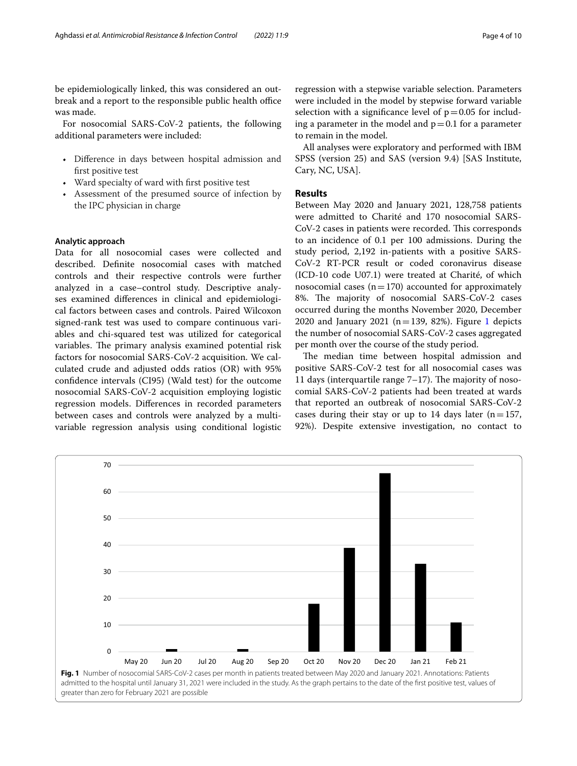be epidemiologically linked, this was considered an outbreak and a report to the responsible public health office was made.

For nosocomial SARS-CoV-2 patients, the following additional parameters were included:

- Diference in days between hospital admission and frst positive test
- Ward specialty of ward with first positive test
- Assessment of the presumed source of infection by the IPC physician in charge

### **Analytic approach**

Data for all nosocomial cases were collected and described. Defnite nosocomial cases with matched controls and their respective controls were further analyzed in a case–control study. Descriptive analyses examined diferences in clinical and epidemiological factors between cases and controls. Paired Wilcoxon signed-rank test was used to compare continuous variables and chi-squared test was utilized for categorical variables. The primary analysis examined potential risk factors for nosocomial SARS-CoV-2 acquisition. We calculated crude and adjusted odds ratios (OR) with 95% confdence intervals (CI95) (Wald test) for the outcome nosocomial SARS-CoV-2 acquisition employing logistic regression models. Diferences in recorded parameters between cases and controls were analyzed by a multivariable regression analysis using conditional logistic

regression with a stepwise variable selection. Parameters were included in the model by stepwise forward variable selection with a significance level of  $p=0.05$  for including a parameter in the model and  $p=0.1$  for a parameter to remain in the model.

All analyses were exploratory and performed with IBM SPSS (version 25) and SAS (version 9.4) [SAS Institute, Cary, NC, USA].

## **Results**

Between May 2020 and January 2021, 128,758 patients were admitted to Charité and 170 nosocomial SARS-CoV-2 cases in patients were recorded. This corresponds to an incidence of 0.1 per 100 admissions. During the study period, 2,192 in-patients with a positive SARS-CoV-2 RT-PCR result or coded coronavirus disease (ICD-10 code U07.1) were treated at Charité, of which nosocomial cases  $(n=170)$  accounted for approximately 8%. The majority of nosocomial SARS-CoV-2 cases occurred during the months November 2020, December 2020 and January 202[1](#page-3-0) ( $n=139$ , 82%). Figure 1 depicts the number of nosocomial SARS-CoV-2 cases aggregated per month over the course of the study period.

The median time between hospital admission and positive SARS-CoV-2 test for all nosocomial cases was 11 days (interquartile range  $7-17$ ). The majority of nosocomial SARS-CoV-2 patients had been treated at wards that reported an outbreak of nosocomial SARS-CoV-2 cases during their stay or up to 14 days later  $(n=157,$ 92%). Despite extensive investigation, no contact to

<span id="page-3-0"></span>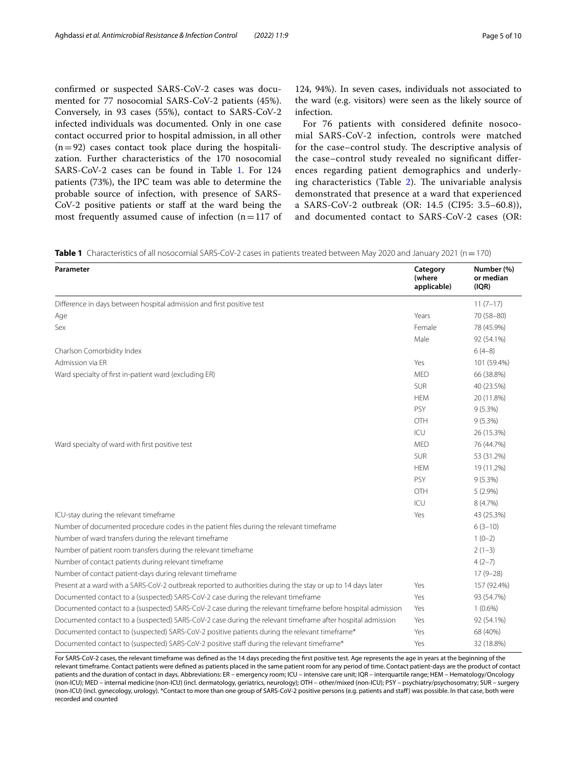confrmed or suspected SARS-CoV-2 cases was documented for 77 nosocomial SARS-CoV-2 patients (45%). Conversely, in 93 cases (55%), contact to SARS-CoV-2 infected individuals was documented. Only in one case contact occurred prior to hospital admission, in all other  $(n=92)$  cases contact took place during the hospitalization. Further characteristics of the 170 nosocomial SARS-CoV-2 cases can be found in Table [1.](#page-4-0) For 124 patients (73%), the IPC team was able to determine the probable source of infection, with presence of SARS-CoV-2 positive patients or staf at the ward being the most frequently assumed cause of infection  $(n=117)$  of

124, 94%). In seven cases, individuals not associated to the ward (e.g. visitors) were seen as the likely source of infection.

For 76 patients with considered defnite nosocomial SARS-CoV-2 infection, controls were matched for the case–control study. The descriptive analysis of the case–control study revealed no signifcant diferences regarding patient demographics and underlying characteristics (Table  $2$ ). The univariable analysis demonstrated that presence at a ward that experienced a SARS-CoV-2 outbreak (OR: 14.5 (CI95: 3.5–60.8)), and documented contact to SARS-CoV-2 cases (OR:

<span id="page-4-0"></span>**Table 1** Characteristics of all nosocomial SARS-CoV-2 cases in patients treated between May 2020 and January 2021 (n=170)

| Parameter                                                                                                   | Category<br>(where<br>applicable) | Number (%)<br>or median<br>(IQR) |
|-------------------------------------------------------------------------------------------------------------|-----------------------------------|----------------------------------|
| Difference in days between hospital admission and first positive test                                       |                                   | $11(7-17)$                       |
| Age                                                                                                         | Years                             | 70 (58-80)                       |
| Sex                                                                                                         | Female                            | 78 (45.9%)                       |
|                                                                                                             | Male                              | 92 (54.1%)                       |
| Charlson Comorbidity Index                                                                                  |                                   | $6(4-8)$                         |
| Admission via ER                                                                                            | Yes                               | 101 (59.4%)                      |
| Ward specialty of first in-patient ward (excluding ER)                                                      | <b>MED</b>                        | 66 (38.8%)                       |
|                                                                                                             | <b>SUR</b>                        | 40 (23.5%)                       |
|                                                                                                             | <b>HEM</b>                        | 20 (11.8%)                       |
|                                                                                                             | PSY                               | $9(5.3\%)$                       |
|                                                                                                             | OTH                               | $9(5.3\%)$                       |
|                                                                                                             | ICU                               | 26 (15.3%)                       |
| Ward specialty of ward with first positive test                                                             | <b>MED</b>                        | 76 (44.7%)                       |
|                                                                                                             | <b>SUR</b>                        | 53 (31.2%)                       |
|                                                                                                             | <b>HEM</b>                        | 19 (11.2%)                       |
|                                                                                                             | PSY                               | $9(5.3\%)$                       |
|                                                                                                             | OTH                               | $5(2.9\%)$                       |
|                                                                                                             | ICU                               | 8 (4.7%)                         |
| ICU-stay during the relevant timeframe                                                                      | Yes                               | 43 (25.3%)                       |
| Number of documented procedure codes in the patient files during the relevant timeframe                     |                                   | $6(3-10)$                        |
| Number of ward transfers during the relevant timeframe                                                      |                                   | $1(0-2)$                         |
| Number of patient room transfers during the relevant timeframe                                              |                                   | $2(1-3)$                         |
| Number of contact patients during relevant timeframe                                                        |                                   | $4(2-7)$                         |
| Number of contact patient-days during relevant timeframe                                                    |                                   | $17(9-28)$                       |
| Present at a ward with a SARS-CoV-2 outbreak reported to authorities during the stay or up to 14 days later | Yes                               | 157 (92.4%)                      |
| Documented contact to a (suspected) SARS-CoV-2 case during the relevant timeframe                           | Yes                               | 93 (54.7%)                       |
| Documented contact to a (suspected) SARS-CoV-2 case during the relevant timeframe before hospital admission | Yes                               | $1(0.6\%)$                       |
| Documented contact to a (suspected) SARS-CoV-2 case during the relevant timeframe after hospital admission  | Yes                               | 92 (54.1%)                       |
| Documented contact to (suspected) SARS-CoV-2 positive patients during the relevant timeframe*               | Yes                               | 68 (40%)                         |
| Documented contact to (suspected) SARS-CoV-2 positive staff during the relevant timeframe*                  | Yes                               | 32 (18.8%)                       |

For SARS-CoV-2 cases, the relevant timeframe was defned as the 14 days preceding the frst positive test. Age represents the age in years at the beginning of the relevant timeframe. Contact patients were defned as patients placed in the same patient room for any period of time. Contact patient-days are the product of contact patients and the duration of contact in days. Abbreviations: ER – emergency room; ICU – intensive care unit; IQR – interquartile range; HEM – Hematology/Oncology (non-ICU); MED – internal medicine (non-ICU) (incl. dermatology, geriatrics, neurology); OTH – other/mixed (non-ICU); PSY – psychiatry/psychosomatry; SUR – surgery (non-ICU) (incl. gynecology, urology). \*Contact to more than one group of SARS-CoV-2 positive persons (e.g. patients and staf) was possible. In that case, both were recorded and counted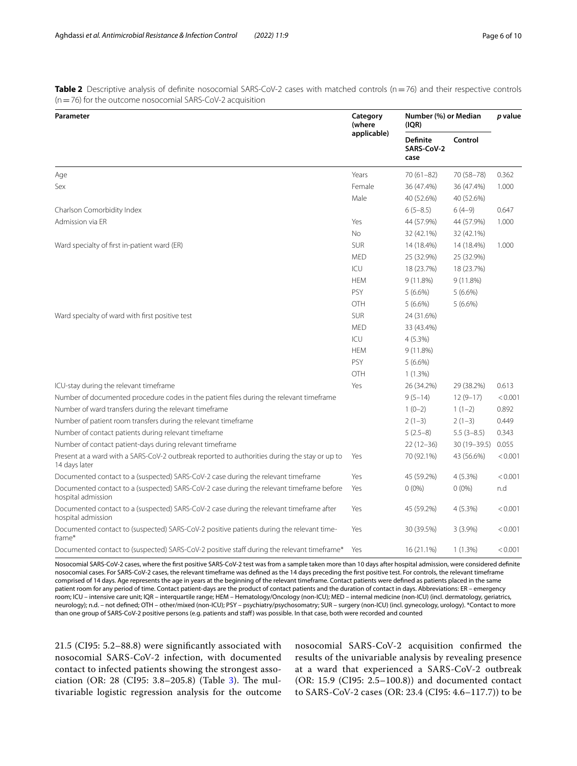<span id="page-5-0"></span>**Table 2** Descriptive analysis of definite nosocomial SARS-CoV-2 cases with matched controls (n=76) and their respective controls (n=76) for the outcome nosocomial SARS-CoV-2 acquisition

| Parameter                                                                                                      | Category<br>(where<br>applicable) | Number (%) or Median<br>(IQR)         |                | p value |
|----------------------------------------------------------------------------------------------------------------|-----------------------------------|---------------------------------------|----------------|---------|
|                                                                                                                |                                   | <b>Definite</b><br>SARS-CoV-2<br>case | Control        |         |
| Age                                                                                                            | Years                             | $70(61 - 82)$                         | 70 (58-78)     | 0.362   |
| Sex                                                                                                            | Female                            | 36 (47.4%)                            | 36 (47.4%)     | 1.000   |
|                                                                                                                | Male                              | 40 (52.6%)                            | 40 (52.6%)     |         |
| Charlson Comorbidity Index                                                                                     |                                   | $6(5-8.5)$                            | $6(4-9)$       | 0.647   |
| Admission via ER                                                                                               | Yes                               | 44 (57.9%)                            | 44 (57.9%)     | 1.000   |
|                                                                                                                | No.                               | 32 (42.1%)                            | 32 (42.1%)     |         |
| Ward specialty of first in-patient ward (ER)                                                                   | <b>SUR</b>                        | 14 (18.4%)                            | 14 (18.4%)     | 1.000   |
|                                                                                                                | <b>MED</b>                        | 25 (32.9%)                            | 25 (32.9%)     |         |
|                                                                                                                | ICU                               | 18 (23.7%)                            | 18 (23.7%)     |         |
|                                                                                                                | <b>HEM</b>                        | 9 (11.8%)                             | 9 (11.8%)      |         |
|                                                                                                                | PSY                               | $5(6.6\%)$                            | $5(6.6\%)$     |         |
|                                                                                                                | OTH                               | $5(6.6\%)$                            | $5(6.6\%)$     |         |
| Ward specialty of ward with first positive test                                                                | <b>SUR</b>                        | 24 (31.6%)                            |                |         |
|                                                                                                                | <b>MED</b>                        | 33 (43.4%)                            |                |         |
|                                                                                                                | ICU                               | 4 (5.3%)                              |                |         |
|                                                                                                                | <b>HEM</b>                        | 9 (11.8%)                             |                |         |
|                                                                                                                | PSY                               | $5(6.6\%)$                            |                |         |
|                                                                                                                | <b>OTH</b>                        | 1(1.3%)                               |                |         |
| ICU-stay during the relevant timeframe                                                                         | Yes                               | 26 (34.2%)                            | 29 (38.2%)     | 0.613   |
| Number of documented procedure codes in the patient files during the relevant timeframe                        |                                   | $9(5-14)$                             | $12(9-17)$     | < 0.001 |
| Number of ward transfers during the relevant timeframe                                                         |                                   | $1(0-2)$                              | $1(1-2)$       | 0.892   |
| Number of patient room transfers during the relevant timeframe                                                 |                                   | $2(1-3)$                              | $2(1-3)$       | 0.449   |
| Number of contact patients during relevant timeframe                                                           |                                   | $5(2.5-8)$                            | $5.5(3-8.5)$   | 0.343   |
| Number of contact patient-days during relevant timeframe                                                       |                                   | $22(12-36)$                           | 30 (19 - 39.5) | 0.055   |
| Present at a ward with a SARS-CoV-2 outbreak reported to authorities during the stay or up to<br>14 days later | Yes                               | 70 (92.1%)                            | 43 (56.6%)     | < 0.001 |
| Documented contact to a (suspected) SARS-CoV-2 case during the relevant timeframe                              | Yes                               | 45 (59.2%)                            | 4(5.3%)        | < 0.001 |
| Documented contact to a (suspected) SARS-CoV-2 case during the relevant timeframe before<br>hospital admission | Yes                               | $0(0\%)$                              | $0(0\%)$       | n.d     |
| Documented contact to a (suspected) SARS-CoV-2 case during the relevant timeframe after<br>hospital admission  | Yes                               | 45 (59.2%)                            | $4(5.3\%)$     | < 0.001 |
| Documented contact to (suspected) SARS-CoV-2 positive patients during the relevant time-<br>frame*             | Yes                               | 30 (39.5%)                            | $3(3.9\%)$     | < 0.001 |
| Documented contact to (suspected) SARS-CoV-2 positive staff during the relevant timeframe*                     | Yes                               | 16 (21.1%)                            | 1(1.3%)        | < 0.001 |

Nosocomial SARS-CoV-2 cases, where the frst positive SARS-CoV-2 test was from a sample taken more than 10 days after hospital admission, were considered defnite nosocomial cases. For SARS-CoV-2 cases, the relevant timeframe was defned as the 14 days preceding the frst positive test. For controls, the relevant timeframe comprised of 14 days. Age represents the age in years at the beginning of the relevant timeframe. Contact patients were defned as patients placed in the same patient room for any period of time. Contact patient-days are the product of contact patients and the duration of contact in days. Abbreviations: ER – emergency room; ICU – intensive care unit; IQR – interquartile range; HEM – Hematology/Oncology (non-ICU); MED – internal medicine (non-ICU) (incl. dermatology, geriatrics, neurology); n.d. – not defned; OTH – other/mixed (non-ICU); PSY – psychiatry/psychosomatry; SUR – surgery (non-ICU) (incl. gynecology, urology). \*Contact to more than one group of SARS-CoV-2 positive persons (e.g. patients and staff) was possible. In that case, both were recorded and counted

21.5 (CI95: 5.2–88.8) were signifcantly associated with nosocomial SARS-CoV-2 infection, with documented contact to infected patients showing the strongest asso-ciation (OR: 28 (CI95: [3](#page-6-0).8–205.8) (Table 3). The multivariable logistic regression analysis for the outcome

nosocomial SARS-CoV-2 acquisition confrmed the results of the univariable analysis by revealing presence at a ward that experienced a SARS-CoV-2 outbreak (OR: 15.9 (CI95: 2.5–100.8)) and documented contact to SARS-CoV-2 cases (OR: 23.4 (CI95: 4.6–117.7)) to be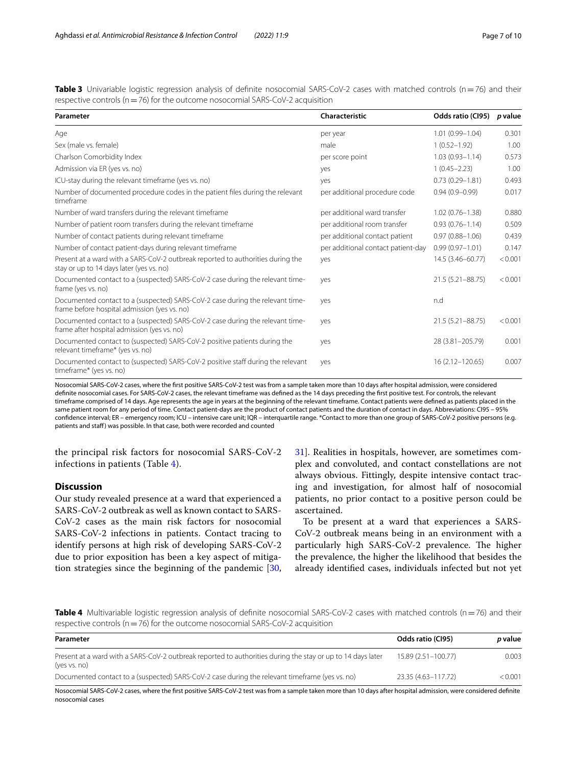<span id="page-6-0"></span>**Table 3** Univariable logistic regression analysis of definite nosocomial SARS-CoV-2 cases with matched controls (n=76) and their respective controls ( $n=76$ ) for the outcome nosocomial SARS-CoV-2 acquisition

| Parameter                                                                                                                     | Characteristic                     | Odds ratio (CI95)   | p value |
|-------------------------------------------------------------------------------------------------------------------------------|------------------------------------|---------------------|---------|
| Age                                                                                                                           | per year                           | $1.01(0.99 - 1.04)$ | 0.301   |
| Sex (male vs. female)                                                                                                         | male                               | $1(0.52 - 1.92)$    | 1.00    |
| Charlson Comorbidity Index                                                                                                    | per score point                    | $1.03(0.93 - 1.14)$ | 0.573   |
| Admission via ER (yes vs. no)                                                                                                 | yes                                | $1(0.45 - 2.23)$    | 1.00    |
| ICU-stay during the relevant timeframe (yes vs. no)                                                                           | yes                                | $0.73(0.29 - 1.81)$ | 0.493   |
| Number of documented procedure codes in the patient files during the relevant<br>timeframe                                    | per additional procedure code      | $0.94(0.9 - 0.99)$  | 0.017   |
| Number of ward transfers during the relevant timeframe                                                                        | per additional ward transfer       | $1.02(0.76 - 1.38)$ | 0.880   |
| Number of patient room transfers during the relevant timeframe                                                                | per additional room transfer       | $0.93(0.76 - 1.14)$ | 0.509   |
| Number of contact patients during relevant timeframe                                                                          | per additional contact patient     | $0.97(0.88 - 1.06)$ | 0.439   |
| Number of contact patient-days during relevant timeframe                                                                      | per additional contact patient-day | $0.99(0.97 - 1.01)$ | 0.147   |
| Present at a ward with a SARS-CoV-2 outbreak reported to authorities during the<br>stay or up to 14 days later (yes vs. no)   | yes                                | 14.5 (3.46-60.77)   | < 0.001 |
| Documented contact to a (suspected) SARS-CoV-2 case during the relevant time-<br>frame (yes vs. no)                           | yes                                | 21.5 (5.21-88.75)   | < 0.001 |
| Documented contact to a (suspected) SARS-CoV-2 case during the relevant time-<br>frame before hospital admission (yes vs. no) | yes                                | n.d                 |         |
| Documented contact to a (suspected) SARS-CoV-2 case during the relevant time-<br>frame after hospital admission (yes vs. no)  | yes                                | 21.5 (5.21-88.75)   | < 0.001 |
| Documented contact to (suspected) SARS-CoV-2 positive patients during the<br>relevant timeframe* (yes vs. no)                 | yes                                | 28 (3.81-205.79)    | 0.001   |
| Documented contact to (suspected) SARS-CoV-2 positive staff during the relevant<br>timeframe* (yes vs. no)                    | yes                                | 16 (2.12-120.65)    | 0.007   |

Nosocomial SARS-CoV-2 cases, where the frst positive SARS-CoV-2 test was from a sample taken more than 10 days after hospital admission, were considered defnite nosocomial cases. For SARS-CoV-2 cases, the relevant timeframe was defned as the 14 days preceding the frst positive test. For controls, the relevant timeframe comprised of 14 days. Age represents the age in years at the beginning of the relevant timeframe. Contact patients were defned as patients placed in the same patient room for any period of time. Contact patient-days are the product of contact patients and the duration of contact in days. Abbreviations: CI95 – 95% confdence interval; ER – emergency room; ICU – intensive care unit; IQR – interquartile range. \*Contact to more than one group of SARS-CoV-2 positive persons (e.g. patients and staff) was possible. In that case, both were recorded and counted

the principal risk factors for nosocomial SARS-CoV-2 infections in patients (Table [4\)](#page-6-1).

## **Discussion**

Our study revealed presence at a ward that experienced a SARS-CoV-2 outbreak as well as known contact to SARS-CoV-2 cases as the main risk factors for nosocomial SARS-CoV-2 infections in patients. Contact tracing to identify persons at high risk of developing SARS-CoV-2 due to prior exposition has been a key aspect of mitigation strategies since the beginning of the pandemic [\[30](#page-9-7),

[31\]](#page-9-8). Realities in hospitals, however, are sometimes complex and convoluted, and contact constellations are not always obvious. Fittingly, despite intensive contact tracing and investigation, for almost half of nosocomial patients, no prior contact to a positive person could be ascertained.

To be present at a ward that experiences a SARS-CoV-2 outbreak means being in an environment with a particularly high SARS-CoV-2 prevalence. The higher the prevalence, the higher the likelihood that besides the already identifed cases, individuals infected but not yet

<span id="page-6-1"></span>**Table 4** Multivariable logistic regression analysis of definite nosocomial SARS-CoV-2 cases with matched controls (n=76) and their respective controls ( $n=76$ ) for the outcome nosocomial SARS-CoV-2 acquisition

| Parameter                                                                                                                   | Odds ratio (CI95)   | <i>p</i> value |
|-----------------------------------------------------------------------------------------------------------------------------|---------------------|----------------|
| Present at a ward with a SARS-CoV-2 outbreak reported to authorities during the stay or up to 14 days later<br>(yes vs. no) | 15.89 (2.51-100.77) | 0.003          |
| Documented contact to a (suspected) SARS-CoV-2 case during the relevant timeframe (yes vs. no)                              | 23.35 (4.63-117.72) | < 0.001        |
|                                                                                                                             |                     |                |

Nosocomial SARS-CoV-2 cases, where the frst positive SARS-CoV-2 test was from a sample taken more than 10 days after hospital admission, were considered defnite nosocomial cases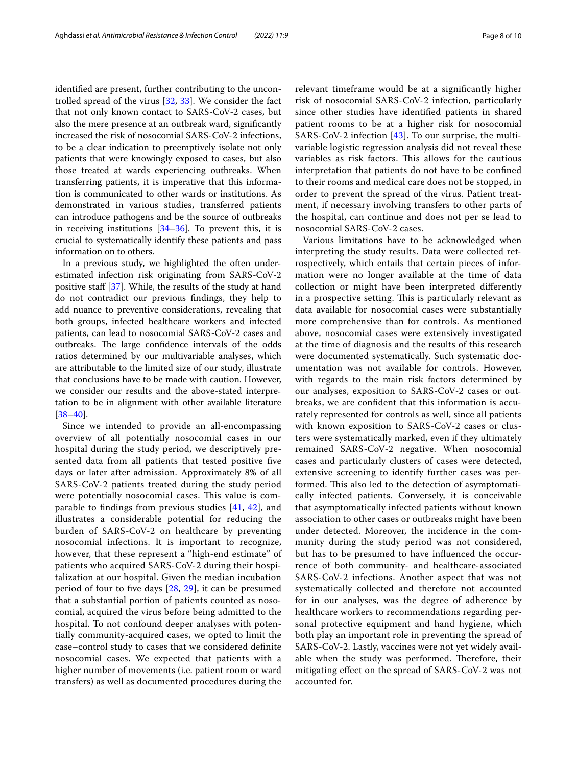identifed are present, further contributing to the uncontrolled spread of the virus [[32,](#page-9-9) [33\]](#page-9-10). We consider the fact that not only known contact to SARS-CoV-2 cases, but also the mere presence at an outbreak ward, signifcantly increased the risk of nosocomial SARS-CoV-2 infections, to be a clear indication to preemptively isolate not only patients that were knowingly exposed to cases, but also those treated at wards experiencing outbreaks. When transferring patients, it is imperative that this information is communicated to other wards or institutions. As demonstrated in various studies, transferred patients can introduce pathogens and be the source of outbreaks in receiving institutions  $[34–36]$  $[34–36]$  $[34–36]$ . To prevent this, it is crucial to systematically identify these patients and pass information on to others.

In a previous study, we highlighted the often underestimated infection risk originating from SARS-CoV-2 positive staff  $[37]$  $[37]$  $[37]$ . While, the results of the study at hand do not contradict our previous fndings, they help to add nuance to preventive considerations, revealing that both groups, infected healthcare workers and infected patients, can lead to nosocomial SARS-CoV-2 cases and outbreaks. The large confidence intervals of the odds ratios determined by our multivariable analyses, which are attributable to the limited size of our study, illustrate that conclusions have to be made with caution. However, we consider our results and the above-stated interpretation to be in alignment with other available literature  $[38-40]$  $[38-40]$  $[38-40]$ .

Since we intended to provide an all-encompassing overview of all potentially nosocomial cases in our hospital during the study period, we descriptively presented data from all patients that tested positive fve days or later after admission. Approximately 8% of all SARS-CoV-2 patients treated during the study period were potentially nosocomial cases. This value is comparable to fndings from previous studies [[41](#page-9-16), [42](#page-9-17)], and illustrates a considerable potential for reducing the burden of SARS-CoV-2 on healthcare by preventing nosocomial infections. It is important to recognize, however, that these represent a "high-end estimate" of patients who acquired SARS-CoV-2 during their hospitalization at our hospital. Given the median incubation period of four to fve days [\[28](#page-9-5), [29\]](#page-9-6), it can be presumed that a substantial portion of patients counted as nosocomial, acquired the virus before being admitted to the hospital. To not confound deeper analyses with potentially community-acquired cases, we opted to limit the case–control study to cases that we considered defnite nosocomial cases. We expected that patients with a higher number of movements (i.e. patient room or ward transfers) as well as documented procedures during the relevant timeframe would be at a signifcantly higher risk of nosocomial SARS-CoV-2 infection, particularly since other studies have identifed patients in shared patient rooms to be at a higher risk for nosocomial SARS-CoV-2 infection [\[43](#page-9-18)]. To our surprise, the multivariable logistic regression analysis did not reveal these variables as risk factors. This allows for the cautious interpretation that patients do not have to be confned to their rooms and medical care does not be stopped, in order to prevent the spread of the virus. Patient treatment, if necessary involving transfers to other parts of the hospital, can continue and does not per se lead to nosocomial SARS-CoV-2 cases.

Various limitations have to be acknowledged when interpreting the study results. Data were collected retrospectively, which entails that certain pieces of information were no longer available at the time of data collection or might have been interpreted diferently in a prospective setting. This is particularly relevant as data available for nosocomial cases were substantially more comprehensive than for controls. As mentioned above, nosocomial cases were extensively investigated at the time of diagnosis and the results of this research were documented systematically. Such systematic documentation was not available for controls. However, with regards to the main risk factors determined by our analyses, exposition to SARS-CoV-2 cases or outbreaks, we are confdent that this information is accurately represented for controls as well, since all patients with known exposition to SARS-CoV-2 cases or clusters were systematically marked, even if they ultimately remained SARS-CoV-2 negative. When nosocomial cases and particularly clusters of cases were detected, extensive screening to identify further cases was performed. This also led to the detection of asymptomatically infected patients. Conversely, it is conceivable that asymptomatically infected patients without known association to other cases or outbreaks might have been under detected. Moreover, the incidence in the community during the study period was not considered, but has to be presumed to have infuenced the occurrence of both community- and healthcare-associated SARS-CoV-2 infections. Another aspect that was not systematically collected and therefore not accounted for in our analyses, was the degree of adherence by healthcare workers to recommendations regarding personal protective equipment and hand hygiene, which both play an important role in preventing the spread of SARS-CoV-2. Lastly, vaccines were not yet widely available when the study was performed. Therefore, their mitigating efect on the spread of SARS-CoV-2 was not accounted for.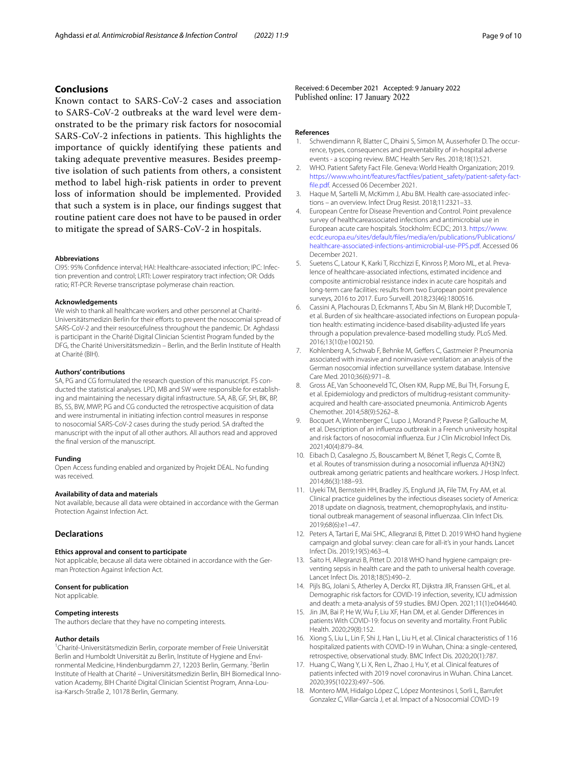## **Conclusions**

Known contact to SARS-CoV-2 cases and association to SARS-CoV-2 outbreaks at the ward level were demonstrated to be the primary risk factors for nosocomial SARS-CoV-2 infections in patients. This highlights the importance of quickly identifying these patients and taking adequate preventive measures. Besides preemptive isolation of such patients from others, a consistent method to label high-risk patients in order to prevent loss of information should be implemented. Provided that such a system is in place, our fndings suggest that routine patient care does not have to be paused in order to mitigate the spread of SARS-CoV-2 in hospitals.

#### **Abbreviations**

CI95: 95% Confidence interval; HAI: Healthcare-associated infection; IPC: Infection prevention and control; LRTI: Lower respiratory tract infection; OR: Odds ratio; RT-PCR: Reverse transcriptase polymerase chain reaction.

#### **Acknowledgements**

We wish to thank all healthcare workers and other personnel at Charité-Universitätsmedizin Berlin for their efforts to prevent the nosocomial spread of SARS-CoV-2 and their resourcefulness throughout the pandemic. Dr. Aghdassi is participant in the Charité Digital Clinician Scientist Program funded by the DFG, the Charité Universitätsmedizin – Berlin, and the Berlin Institute of Health at Charité (BIH).

#### **Authors' contributions**

SA, PG and CG formulated the research question of this manuscript. FS conducted the statistical analyses. LPD, MB and SW were responsible for establishing and maintaining the necessary digital infrastructure. SA, AB, GF, SH, BK, BP, BS, SS, BW, MWP, PG and CG conducted the retrospective acquisition of data and were instrumental in initiating infection control measures in response to nosocomial SARS-CoV-2 cases during the study period. SA drafted the manuscript with the input of all other authors. All authors read and approved the fnal version of the manuscript.

#### **Funding**

Open Access funding enabled and organized by Projekt DEAL. No funding was received.

#### **Availability of data and materials**

Not available, because all data were obtained in accordance with the German Protection Against Infection Act.

## **Declarations**

#### **Ethics approval and consent to participate**

Not applicable, because all data were obtained in accordance with the German Protection Against Infection Act.

#### **Consent for publication**

Not applicable.

#### **Competing interests**

The authors declare that they have no competing interests.

#### **Author details**

<sup>1</sup> Charité-Universitätsmedizin Berlin, corporate member of Freie Universität Berlin and Humboldt Universität zu Berlin, Institute of Hygiene and Environmental Medicine, Hindenburgdamm 27, 12203 Berlin, Germany. <sup>2</sup>Berlin Institute of Health at Charité – Universitätsmedizin Berlin, BIH Biomedical Innovation Academy, BIH Charité Digital Clinician Scientist Program, Anna-Louisa‑Karsch‑Straße 2, 10178 Berlin, Germany.

Received: 6 December 2021 Accepted: 9 January 2022

#### **References**

- <span id="page-8-0"></span>Schwendimann R, Blatter C, Dhaini S, Simon M, Ausserhofer D. The occurrence, types, consequences and preventability of in-hospital adverse events - a scoping review. BMC Health Serv Res. 2018;18(1):521.
- 2. WHO. Patient Safety Fact File. Geneva: World Health Organization; 2019. [https://www.who.int/features/factfiles/patient\\_safety/patient-safety-fact](https://www.who.int/features/factfiles/patient_safety/patient-safety-fact-file.pdf) [fle.pdf.](https://www.who.int/features/factfiles/patient_safety/patient-safety-fact-file.pdf) Accessed 06 December 2021.
- <span id="page-8-1"></span>3. Haque M, Sartelli M, McKimm J, Abu BM. Health care-associated infections – an overview. Infect Drug Resist. 2018;11:2321–33.
- <span id="page-8-2"></span>4. European Centre for Disease Prevention and Control. Point prevalence survey of healthcareassociated infections and antimicrobial use in European acute care hospitals. Stockholm: ECDC; 2013. [https://www.](https://www.ecdc.europa.eu/sites/default/files/media/en/publications/Publications/healthcare-associated-infections-antimicrobial-use-PPS.pdf) [ecdc.europa.eu/sites/default/fles/media/en/publications/Publications/](https://www.ecdc.europa.eu/sites/default/files/media/en/publications/Publications/healthcare-associated-infections-antimicrobial-use-PPS.pdf) [healthcare-associated-infections-antimicrobial-use-PPS.pdf](https://www.ecdc.europa.eu/sites/default/files/media/en/publications/Publications/healthcare-associated-infections-antimicrobial-use-PPS.pdf). Accessed 06 December 2021.
- 5. Suetens C, Latour K, Karki T, Ricchizzi E, Kinross P, Moro ML, et al. Prevalence of healthcare-associated infections, estimated incidence and composite antimicrobial resistance index in acute care hospitals and long-term care facilities: results from two European point prevalence surveys, 2016 to 2017. Euro Surveill. 2018;23(46):1800516.
- <span id="page-8-3"></span>6. Cassini A, Plachouras D, Eckmanns T, Abu Sin M, Blank HP, Ducomble T, et al. Burden of six healthcare-associated infections on European population health: estimating incidence-based disability-adjusted life years through a population prevalence-based modelling study. PLoS Med. 2016;13(10):e1002150.
- <span id="page-8-4"></span>7. Kohlenberg A, Schwab F, Behnke M, Geffers C, Gastmeier P. Pneumonia associated with invasive and noninvasive ventilation: an analysis of the German nosocomial infection surveillance system database. Intensive Care Med. 2010;36(6):971–8.
- <span id="page-8-5"></span>8. Gross AE, Van Schooneveld TC, Olsen KM, Rupp ME, Bui TH, Forsung E, et al. Epidemiology and predictors of multidrug-resistant communityacquired and health care-associated pneumonia. Antimicrob Agents Chemother. 2014;58(9):5262–8.
- <span id="page-8-6"></span>9. Bocquet A, Wintenberger C, Lupo J, Morand P, Pavese P, Gallouche M, et al. Description of an infuenza outbreak in a French university hospital and risk factors of nosocomial infuenza. Eur J Clin Microbiol Infect Dis. 2021;40(4):879–84.
- <span id="page-8-7"></span>10. Eibach D, Casalegno JS, Bouscambert M, Bénet T, Regis C, Comte B, et al. Routes of transmission during a nosocomial infuenza A(H3N2) outbreak among geriatric patients and healthcare workers. J Hosp Infect. 2014;86(3):188–93.
- <span id="page-8-8"></span>11. Uyeki TM, Bernstein HH, Bradley JS, Englund JA, File TM, Fry AM, et al. Clinical practice guidelines by the infectious diseases society of America: 2018 update on diagnosis, treatment, chemoprophylaxis, and institutional outbreak management of seasonal infuenzaa. Clin Infect Dis. 2019;68(6):e1–47.
- <span id="page-8-9"></span>12. Peters A, Tartari E, Mai SHC, Allegranzi B, Pittet D. 2019 WHO hand hygiene campaign and global survey: clean care for all-it's in your hands. Lancet Infect Dis. 2019;19(5):463–4.
- <span id="page-8-10"></span>13. Saito H, Allegranzi B, Pittet D. 2018 WHO hand hygiene campaign: pre‑ venting sepsis in health care and the path to universal health coverage. Lancet Infect Dis. 2018;18(5):490–2.
- <span id="page-8-11"></span>14. Pijls BG, Jolani S, Atherley A, Derckx RT, Dijkstra JIR, Franssen GHL, et al. Demographic risk factors for COVID-19 infection, severity, ICU admission and death: a meta-analysis of 59 studies. BMJ Open. 2021;11(1):e044640.
- 15. Jin JM, Bai P, He W, Wu F, Liu XF, Han DM, et al. Gender Diferences in patients With COVID-19: focus on severity and mortality. Front Public Health. 2020;29(8):152.
- 16. Xiong S, Liu L, Lin F, Shi J, Han L, Liu H, et al. Clinical characteristics of 116 hospitalized patients with COVID-19 in Wuhan, China: a single-centered, retrospective, observational study. BMC Infect Dis. 2020;20(1):787.
- <span id="page-8-12"></span>17. Huang C, Wang Y, Li X, Ren L, Zhao J, Hu Y, et al. Clinical features of patients infected with 2019 novel coronavirus in Wuhan. China Lancet. 2020;395(10223):497–506.
- <span id="page-8-13"></span>18. Montero MM, Hidalgo López C, López Montesinos I, Sorli L, Barrufet Gonzalez C, Villar-García J, et al. Impact of a Nosocomial COVID-19